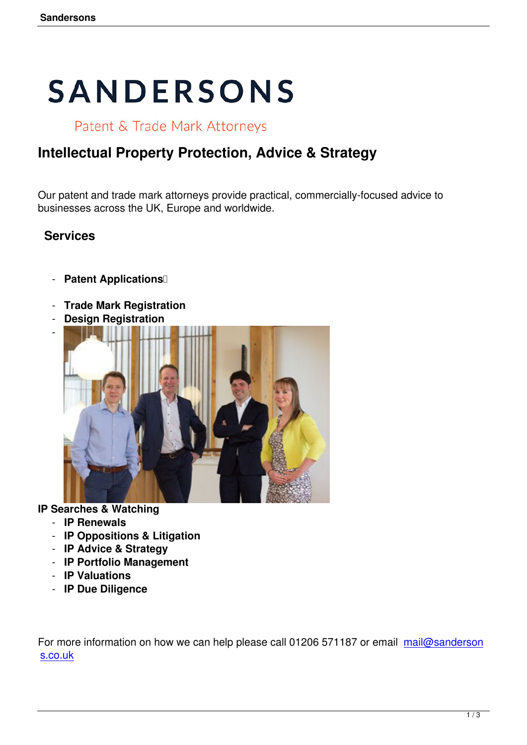# **SANDERSONS**

Patent & Trade Mark Attorneys

# **Intellectual Property Protection, Advice & Strategy**

Our patent and trade mark attorneys provide practical, commercially-focused advice to businesses across the UK, Europe and worldwide.

## **Services**

- **Patent Applications**
- **Trade Mark Registration**
- **Design Registration**



#### **IP Searches & Watching**

- **IP Renewals**
- **IP Oppositions & Litigation**
- **IP Advice & Strategy**
- **IP Portfolio Management**
- **IP Valuations**
- **IP Due Diligence**

For more information on how we can help please call 01206 571187 or email mail@sanderson s.co.uk